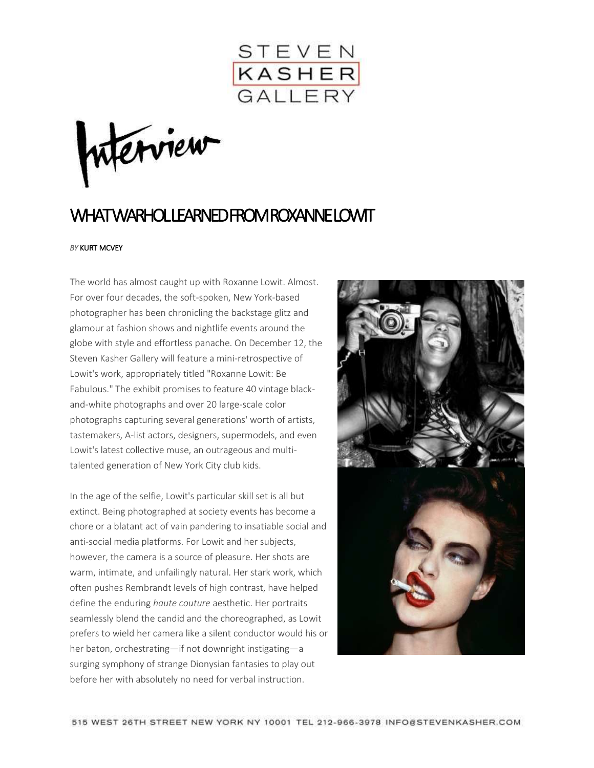

nterview

## WHAT WARHOLLEARNED FROM ROXANNE LOWIT

## *BY* KURT MCVEY

The world has almost caught up with Roxanne Lowit. Almost. For over four decades, the soft-spoken, New York-based photographer has been chronicling the backstage glitz and glamour at fashion shows and nightlife events around the globe with style and effortless panache. On December 12, the Steven Kasher Gallery will feature a mini-retrospective of Lowit's work, appropriately titled "Roxanne Lowit: Be Fabulous." The exhibit promises to feature 40 vintage blackand-white photographs and over 20 large-scale color photographs capturing several generations' worth of artists, tastemakers, A-list actors, designers, supermodels, and even Lowit's latest collective muse, an outrageous and multitalented generation of New York City club kids.

In the age of the selfie, Lowit's particular skill set is all but extinct. Being photographed at society events has become a chore or a blatant act of vain pandering to insatiable social and anti-social media platforms. For Lowit and her subjects, however, the camera is a source of pleasure. Her shots are warm, intimate, and unfailingly natural. Her stark work, which often pushes Rembrandt levels of high contrast, have helped define the enduring *haute couture* aesthetic. Her portraits seamlessly blend the candid and the choreographed, as Lowit prefers to wield her camera like a silent conductor would his or her baton, orchestrating—if not downright instigating—a surging symphony of strange Dionysian fantasies to play out before her with absolutely no need for verbal instruction.

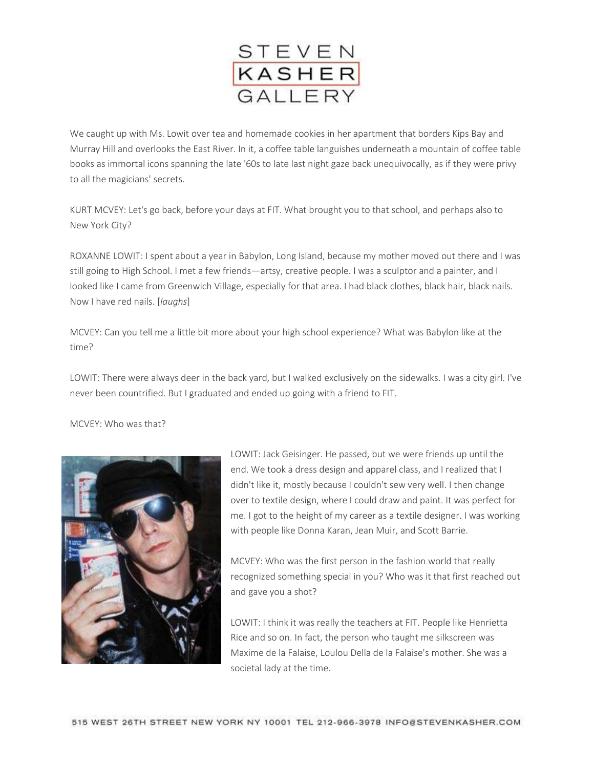

We caught up with Ms. Lowit over tea and homemade cookies in her apartment that borders Kips Bay and Murray Hill and overlooks the East River. In it, a coffee table languishes underneath a mountain of coffee table books as immortal icons spanning the late '60s to late last night gaze back unequivocally, as if they were privy to all the magicians' secrets.

KURT MCVEY: Let's go back, before your days at FIT. What brought you to that school, and perhaps also to New York City?

ROXANNE LOWIT: I spent about a year in Babylon, Long Island, because my mother moved out there and I was still going to High School. I met a few friends—artsy, creative people. I was a sculptor and a painter, and I looked like I came from Greenwich Village, especially for that area. I had black clothes, black hair, black nails. Now I have red nails. [*laughs*]

MCVEY: Can you tell me a little bit more about your high school experience? What was Babylon like at the time?

LOWIT: There were always deer in the back yard, but I walked exclusively on the sidewalks. I was a city girl. I've never been countrified. But I graduated and ended up going with a friend to FIT.

MCVEY: Who was that?



LOWIT: Jack Geisinger. He passed, but we were friends up until the end. We took a dress design and apparel class, and I realized that I didn't like it, mostly because I couldn't sew very well. I then change over to textile design, where I could draw and paint. It was perfect for me. I got to the height of my career as a textile designer. I was working with people like Donna Karan, Jean Muir, and Scott Barrie.

MCVEY: Who was the first person in the fashion world that really recognized something special in you? Who was it that first reached out and gave you a shot?

LOWIT: I think it was really the teachers at FIT. People like Henrietta Rice and so on. In fact, the person who taught me silkscreen was Maxime de la Falaise, Loulou Della de la Falaise's mother. She was a societal lady at the time.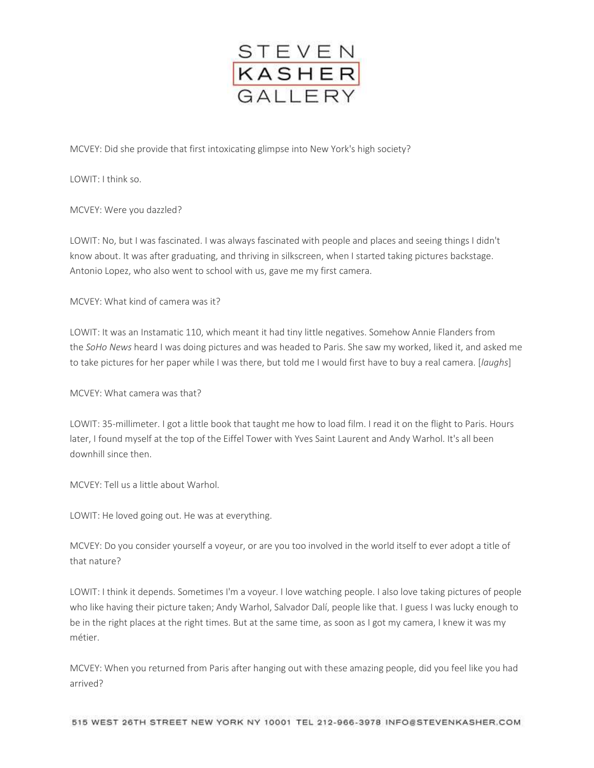

MCVEY: Did she provide that first intoxicating glimpse into New York's high society?

LOWIT: I think so.

MCVEY: Were you dazzled?

LOWIT: No, but I was fascinated. I was always fascinated with people and places and seeing things I didn't know about. It was after graduating, and thriving in silkscreen, when I started taking pictures backstage. Antonio Lopez, who also went to school with us, gave me my first camera.

MCVEY: What kind of camera was it?

LOWIT: It was an Instamatic 110, which meant it had tiny little negatives. Somehow Annie Flanders from the *SoHo News* heard I was doing pictures and was headed to Paris. She saw my worked, liked it, and asked me to take pictures for her paper while I was there, but told me I would first have to buy a real camera. [*laughs*]

MCVEY: What camera was that?

LOWIT: 35-millimeter. I got a little book that taught me how to load film. I read it on the flight to Paris. Hours later, I found myself at the top of the Eiffel Tower with Yves Saint Laurent and Andy Warhol. It's all been downhill since then.

MCVEY: Tell us a little about Warhol.

LOWIT: He loved going out. He was at everything.

MCVEY: Do you consider yourself a voyeur, or are you too involved in the world itself to ever adopt a title of that nature?

LOWIT: I think it depends. Sometimes I'm a voyeur. I love watching people. I also love taking pictures of people who like having their picture taken; Andy Warhol, Salvador Dalí, people like that. I guess I was lucky enough to be in the right places at the right times. But at the same time, as soon as I got my camera, I knew it was my métier.

MCVEY: When you returned from Paris after hanging out with these amazing people, did you feel like you had arrived?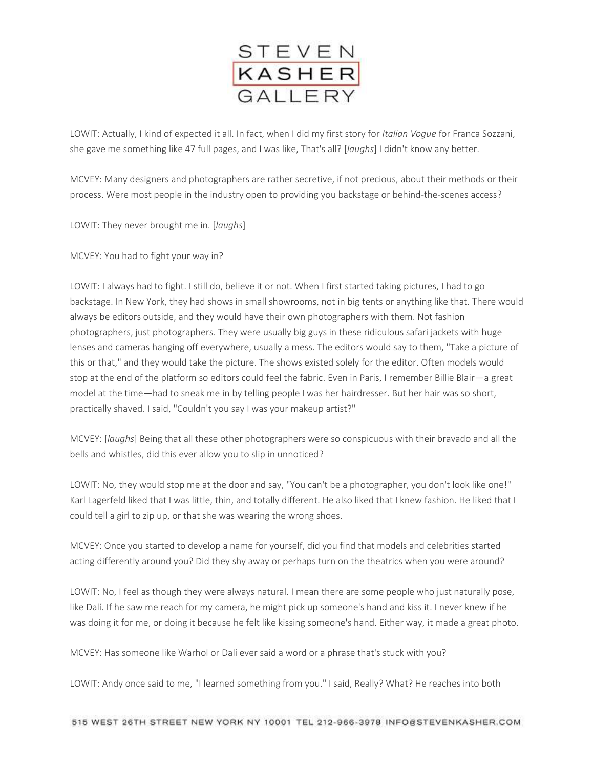

LOWIT: Actually, I kind of expected it all. In fact, when I did my first story for *Italian Vogue* for Franca Sozzani, she gave me something like 47 full pages, and I was like, That's all? [*laughs*] I didn't know any better.

MCVEY: Many designers and photographers are rather secretive, if not precious, about their methods or their process. Were most people in the industry open to providing you backstage or behind-the-scenes access?

LOWIT: They never brought me in. [*laughs*]

MCVEY: You had to fight your way in?

LOWIT: I always had to fight. I still do, believe it or not. When I first started taking pictures, I had to go backstage. In New York, they had shows in small showrooms, not in big tents or anything like that. There would always be editors outside, and they would have their own photographers with them. Not fashion photographers, just photographers. They were usually big guys in these ridiculous safari jackets with huge lenses and cameras hanging off everywhere, usually a mess. The editors would say to them, "Take a picture of this or that," and they would take the picture. The shows existed solely for the editor. Often models would stop at the end of the platform so editors could feel the fabric. Even in Paris, I remember Billie Blair—a great model at the time—had to sneak me in by telling people I was her hairdresser. But her hair was so short, practically shaved. I said, "Couldn't you say I was your makeup artist?"

MCVEY: [*laughs*] Being that all these other photographers were so conspicuous with their bravado and all the bells and whistles, did this ever allow you to slip in unnoticed?

LOWIT: No, they would stop me at the door and say, "You can't be a photographer, you don't look like one!" Karl Lagerfeld liked that I was little, thin, and totally different. He also liked that I knew fashion. He liked that I could tell a girl to zip up, or that she was wearing the wrong shoes.

MCVEY: Once you started to develop a name for yourself, did you find that models and celebrities started acting differently around you? Did they shy away or perhaps turn on the theatrics when you were around?

LOWIT: No, I feel as though they were always natural. I mean there are some people who just naturally pose, like Dalí. If he saw me reach for my camera, he might pick up someone's hand and kiss it. I never knew if he was doing it for me, or doing it because he felt like kissing someone's hand. Either way, it made a great photo.

MCVEY: Has someone like Warhol or Dalí ever said a word or a phrase that's stuck with you?

LOWIT: Andy once said to me, "I learned something from you." I said, Really? What? He reaches into both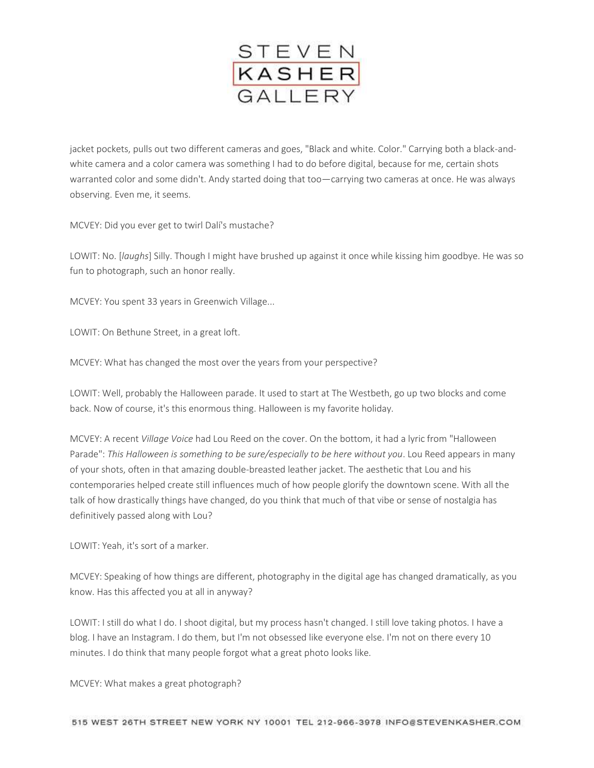

jacket pockets, pulls out two different cameras and goes, "Black and white. Color." Carrying both a black-andwhite camera and a color camera was something I had to do before digital, because for me, certain shots warranted color and some didn't. Andy started doing that too—carrying two cameras at once. He was always observing. Even me, it seems.

MCVEY: Did you ever get to twirl Dalí's mustache?

LOWIT: No. [*laughs*] Silly. Though I might have brushed up against it once while kissing him goodbye. He was so fun to photograph, such an honor really.

MCVEY: You spent 33 years in Greenwich Village...

LOWIT: On Bethune Street, in a great loft.

MCVEY: What has changed the most over the years from your perspective?

LOWIT: Well, probably the Halloween parade. It used to start at The Westbeth, go up two blocks and come back. Now of course, it's this enormous thing. Halloween is my favorite holiday.

MCVEY: A recent *Village Voice* had Lou Reed on the cover. On the bottom, it had a lyric from "Halloween Parade": *This Halloween is something to be sure/especially to be here without you*. Lou Reed appears in many of your shots, often in that amazing double-breasted leather jacket. The aesthetic that Lou and his contemporaries helped create still influences much of how people glorify the downtown scene. With all the talk of how drastically things have changed, do you think that much of that vibe or sense of nostalgia has definitively passed along with Lou?

LOWIT: Yeah, it's sort of a marker.

MCVEY: Speaking of how things are different, photography in the digital age has changed dramatically, as you know. Has this affected you at all in anyway?

LOWIT: I still do what I do. I shoot digital, but my process hasn't changed. I still love taking photos. I have a blog. I have an Instagram. I do them, but I'm not obsessed like everyone else. I'm not on there every 10 minutes. I do think that many people forgot what a great photo looks like.

MCVEY: What makes a great photograph?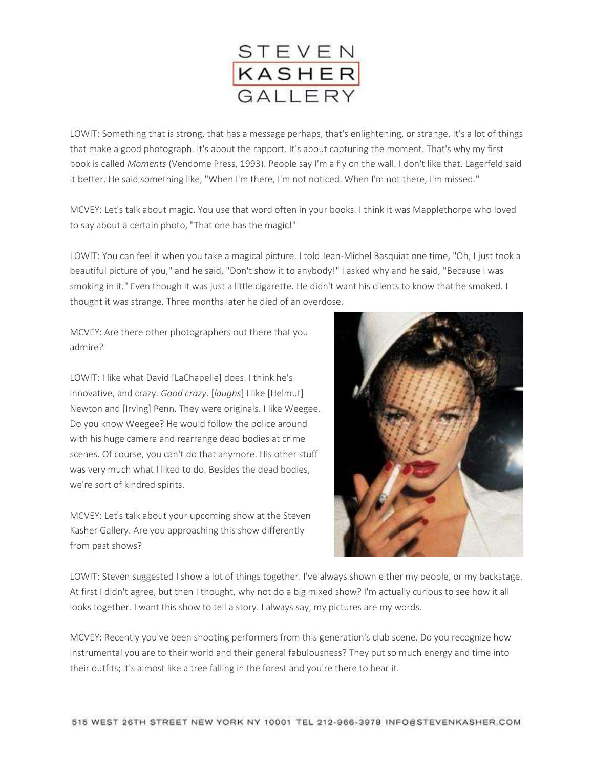

LOWIT: Something that is strong, that has a message perhaps, that's enlightening, or strange. It's a lot of things that make a good photograph. It's about the rapport. It's about capturing the moment. That's why my first book is called *Moments* (Vendome Press, 1993). People say I'm a fly on the wall. I don't like that. Lagerfeld said it better. He said something like, "When I'm there, I'm not noticed. When I'm not there, I'm missed."

MCVEY: Let's talk about magic. You use that word often in your books. I think it was Mapplethorpe who loved to say about a certain photo, "That one has the magic!"

LOWIT: You can feel it when you take a magical picture. I told Jean-Michel Basquiat one time, "Oh, I just took a beautiful picture of you," and he said, "Don't show it to anybody!" I asked why and he said, "Because I was smoking in it." Even though it was just a little cigarette. He didn't want his clients to know that he smoked. I thought it was strange. Three months later he died of an overdose.

MCVEY: Are there other photographers out there that you admire?

LOWIT: I like what David [LaChapelle] does. I think he's innovative, and crazy. *Good crazy*. [*laughs*] I like [Helmut] Newton and [Irving] Penn. They were originals. I like Weegee. Do you know Weegee? He would follow the police around with his huge camera and rearrange dead bodies at crime scenes. Of course, you can't do that anymore. His other stuff was very much what I liked to do. Besides the dead bodies, we're sort of kindred spirits.

MCVEY: Let's talk about your upcoming show at the Steven Kasher Gallery. Are you approaching this show differently from past shows?



LOWIT: Steven suggested I show a lot of things together. I've always shown either my people, or my backstage. At first I didn't agree, but then I thought, why not do a big mixed show? I'm actually curious to see how it all looks together. I want this show to tell a story. I always say, my pictures are my words.

MCVEY: Recently you've been shooting performers from this generation's club scene. Do you recognize how instrumental you are to their world and their general fabulousness? They put so much energy and time into their outfits; it's almost like a tree falling in the forest and you're there to hear it.